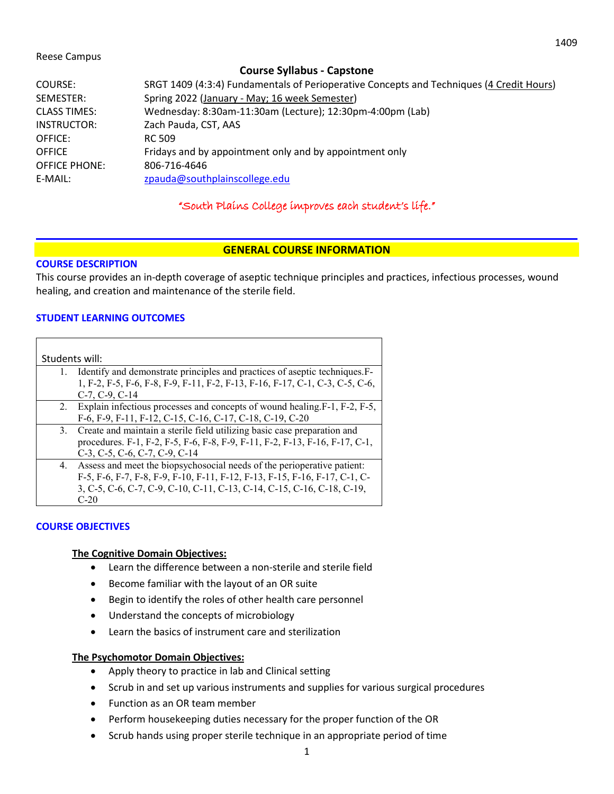#### Reese Campus

| <b>Course Syllabus - Capstone</b> |                                                                                          |  |  |
|-----------------------------------|------------------------------------------------------------------------------------------|--|--|
| COURSE:                           | SRGT 1409 (4:3:4) Fundamentals of Perioperative Concepts and Techniques (4 Credit Hours) |  |  |
| SEMESTER:                         | Spring 2022 (January - May; 16 week Semester)                                            |  |  |
| <b>CLASS TIMES:</b>               | Wednesday: 8:30am-11:30am (Lecture); 12:30pm-4:00pm (Lab)                                |  |  |
| INSTRUCTOR:                       | Zach Pauda, CST, AAS                                                                     |  |  |
| OFFICE:                           | RC 509                                                                                   |  |  |
| <b>OFFICE</b>                     | Fridays and by appointment only and by appointment only                                  |  |  |
| <b>OFFICE PHONE:</b>              | 806-716-4646                                                                             |  |  |
| E-MAIL:                           | zpauda@southplainscollege.edu                                                            |  |  |

# "South Plains College improves each student's life."

### **GENERAL COURSE INFORMATION**

#### **COURSE DESCRIPTION**

This course provides an in-depth coverage of aseptic technique principles and practices, infectious processes, wound healing, and creation and maintenance of the sterile field.

### **STUDENT LEARNING OUTCOMES**

| Students will: |                                                                              |  |
|----------------|------------------------------------------------------------------------------|--|
| 1.             | Identify and demonstrate principles and practices of aseptic techniques. F-  |  |
|                | 1, F-2, F-5, F-6, F-8, F-9, F-11, F-2, F-13, F-16, F-17, C-1, C-3, C-5, C-6, |  |
|                | $C-7, C-9, C-14$                                                             |  |
|                | 2. Explain infectious processes and concepts of wound healing F-1, F-2, F-5, |  |
|                | F-6, F-9, F-11, F-12, C-15, C-16, C-17, C-18, C-19, C-20                     |  |
|                | 3. Create and maintain a sterile field utilizing basic case preparation and  |  |
|                | procedures. F-1, F-2, F-5, F-6, F-8, F-9, F-11, F-2, F-13, F-16, F-17, C-1,  |  |
|                | C-3, C-5, C-6, C-7, C-9, C-14                                                |  |
| 4.             | Assess and meet the biopsychosocial needs of the perioperative patient:      |  |
|                | F-5, F-6, F-7, F-8, F-9, F-10, F-11, F-12, F-13, F-15, F-16, F-17, C-1, C-   |  |
|                | 3, C-5, C-6, C-7, C-9, C-10, C-11, C-13, C-14, C-15, C-16, C-18, C-19,       |  |
|                | $C-20$                                                                       |  |

### **COURSE OBJECTIVES**

#### **The Cognitive Domain Objectives:**

- Learn the difference between a non-sterile and sterile field
- Become familiar with the layout of an OR suite
- Begin to identify the roles of other health care personnel
- Understand the concepts of microbiology
- Learn the basics of instrument care and sterilization

#### **The Psychomotor Domain Objectives:**

- Apply theory to practice in lab and Clinical setting
- Scrub in and set up various instruments and supplies for various surgical procedures
- Function as an OR team member
- Perform housekeeping duties necessary for the proper function of the OR
- Scrub hands using proper sterile technique in an appropriate period of time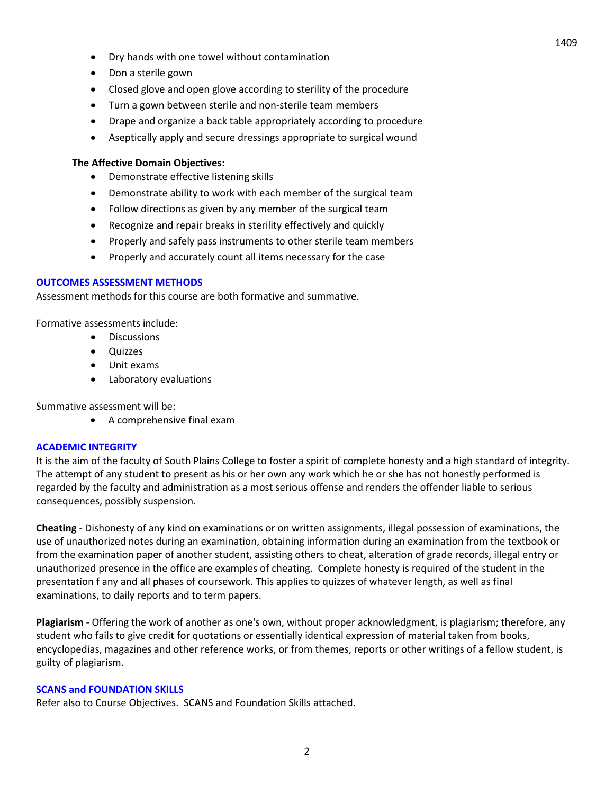- Dry hands with one towel without contamination
- Don a sterile gown
- Closed glove and open glove according to sterility of the procedure
- Turn a gown between sterile and non-sterile team members
- Drape and organize a back table appropriately according to procedure
- Aseptically apply and secure dressings appropriate to surgical wound

### **The Affective Domain Objectives:**

- Demonstrate effective listening skills
- Demonstrate ability to work with each member of the surgical team
- Follow directions as given by any member of the surgical team
- Recognize and repair breaks in sterility effectively and quickly
- Properly and safely pass instruments to other sterile team members
- Properly and accurately count all items necessary for the case

### **OUTCOMES ASSESSMENT METHODS**

Assessment methods for this course are both formative and summative.

Formative assessments include:

- Discussions
- Quizzes
- Unit exams
- Laboratory evaluations

Summative assessment will be:

• A comprehensive final exam

#### **ACADEMIC INTEGRITY**

It is the aim of the faculty of South Plains College to foster a spirit of complete honesty and a high standard of integrity. The attempt of any student to present as his or her own any work which he or she has not honestly performed is regarded by the faculty and administration as a most serious offense and renders the offender liable to serious consequences, possibly suspension.

**Cheating** - Dishonesty of any kind on examinations or on written assignments, illegal possession of examinations, the use of unauthorized notes during an examination, obtaining information during an examination from the textbook or from the examination paper of another student, assisting others to cheat, alteration of grade records, illegal entry or unauthorized presence in the office are examples of cheating. Complete honesty is required of the student in the presentation f any and all phases of coursework. This applies to quizzes of whatever length, as well as final examinations, to daily reports and to term papers.

**Plagiarism** - Offering the work of another as one's own, without proper acknowledgment, is plagiarism; therefore, any student who fails to give credit for quotations or essentially identical expression of material taken from books, encyclopedias, magazines and other reference works, or from themes, reports or other writings of a fellow student, is guilty of plagiarism.

#### **SCANS and FOUNDATION SKILLS**

Refer also to Course Objectives. SCANS and Foundation Skills attached.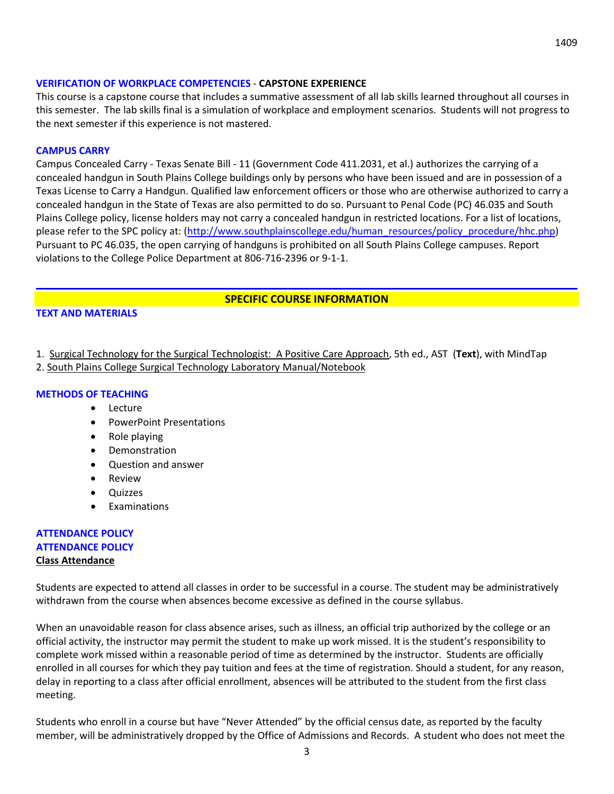#### **VERIFICATION OF WORKPLACE COMPETENCIES** - **CAPSTONE EXPERIENCE**

This course is a capstone course that includes a summative assessment of all lab skills learned throughout all courses in this semester. The lab skills final is a simulation of workplace and employment scenarios. Students will not progress to the next semester if this experience is not mastered.

#### **CAMPUS CARRY**

Campus Concealed Carry - Texas Senate Bill - 11 (Government Code 411.2031, et al.) authorizes the carrying of a concealed handgun in South Plains College buildings only by persons who have been issued and are in possession of a Texas License to Carry a Handgun. Qualified law enforcement officers or those who are otherwise authorized to carry a concealed handgun in the State of Texas are also permitted to do so. Pursuant to Penal Code (PC) 46.035 and South Plains College policy, license holders may not carry a concealed handgun in restricted locations. For a list of locations, please refer to the SPC policy at: [\(http://www.southplainscollege.edu/human\\_resources/policy\\_procedure/hhc.php\)](http://www.southplainscollege.edu/human_resources/policy_procedure/hhc.php) Pursuant to PC 46.035, the open carrying of handguns is prohibited on all South Plains College campuses. Report violations to the College Police Department at 806-716-2396 or 9-1-1.

#### **SPECIFIC COURSE INFORMATION**

#### **TEXT AND MATERIALS**

- 1. Surgical Technology for the Surgical Technologist: A Positive Care Approach, 5th ed., AST (**Text**), with MindTap
- 2. South Plains College Surgical Technology Laboratory Manual/Notebook

#### **METHODS OF TEACHING**

- Lecture
- PowerPoint Presentations
- Role playing
- Demonstration
- Question and answer
- Review
- Quizzes
- Examinations

### **ATTENDANCE POLICY ATTENDANCE POLICY Class Attendance**

Students are expected to attend all classes in order to be successful in a course. The student may be administratively withdrawn from the course when absences become excessive as defined in the course syllabus.

When an unavoidable reason for class absence arises, such as illness, an official trip authorized by the college or an official activity, the instructor may permit the student to make up work missed. It is the student's responsibility to complete work missed within a reasonable period of time as determined by the instructor. Students are officially enrolled in all courses for which they pay tuition and fees at the time of registration. Should a student, for any reason, delay in reporting to a class after official enrollment, absences will be attributed to the student from the first class meeting.

Students who enroll in a course but have "Never Attended" by the official census date, as reported by the faculty member, will be administratively dropped by the Office of Admissions and Records. A student who does not meet the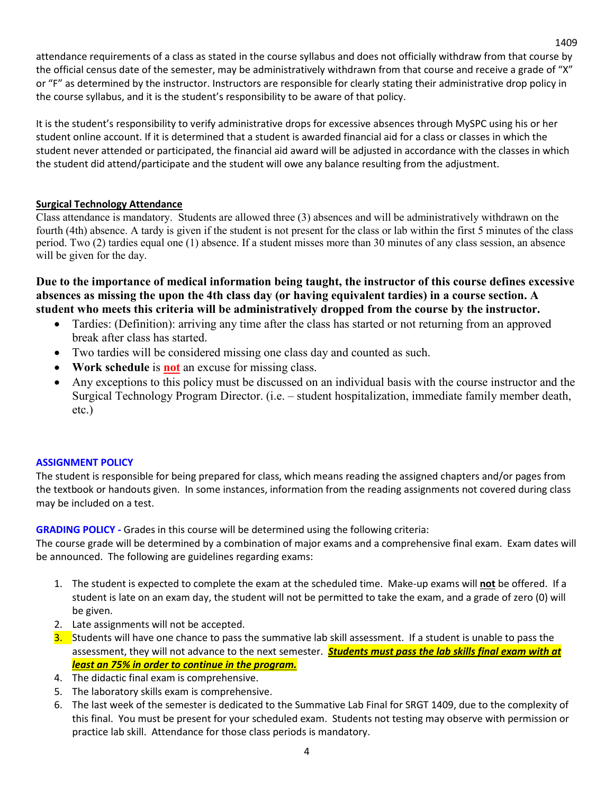attendance requirements of a class as stated in the course syllabus and does not officially withdraw from that course by the official census date of the semester, may be administratively withdrawn from that course and receive a grade of "X" or "F" as determined by the instructor. Instructors are responsible for clearly stating their administrative drop policy in the course syllabus, and it is the student's responsibility to be aware of that policy.

1409

It is the student's responsibility to verify administrative drops for excessive absences through MySPC using his or her student online account. If it is determined that a student is awarded financial aid for a class or classes in which the student never attended or participated, the financial aid award will be adjusted in accordance with the classes in which the student did attend/participate and the student will owe any balance resulting from the adjustment.

# **Surgical Technology Attendance**

Class attendance is mandatory. Students are allowed three (3) absences and will be administratively withdrawn on the fourth (4th) absence. A tardy is given if the student is not present for the class or lab within the first 5 minutes of the class period. Two (2) tardies equal one (1) absence. If a student misses more than 30 minutes of any class session, an absence will be given for the day.

**Due to the importance of medical information being taught, the instructor of this course defines excessive absences as missing the upon the 4th class day (or having equivalent tardies) in a course section. A student who meets this criteria will be administratively dropped from the course by the instructor.** 

- Tardies: (Definition): arriving any time after the class has started or not returning from an approved break after class has started.
- Two tardies will be considered missing one class day and counted as such.
- **Work schedule** is **not** an excuse for missing class.
- Any exceptions to this policy must be discussed on an individual basis with the course instructor and the Surgical Technology Program Director. (i.e. – student hospitalization, immediate family member death, etc.)

### **ASSIGNMENT POLICY**

The student is responsible for being prepared for class, which means reading the assigned chapters and/or pages from the textbook or handouts given. In some instances, information from the reading assignments not covered during class may be included on a test.

**GRADING POLICY -** Grades in this course will be determined using the following criteria:

The course grade will be determined by a combination of major exams and a comprehensive final exam. Exam dates will be announced. The following are guidelines regarding exams:

- 1. The student is expected to complete the exam at the scheduled time. Make-up exams will **not** be offered. If a student is late on an exam day, the student will not be permitted to take the exam, and a grade of zero (0) will be given.
- 2. Late assignments will not be accepted.
- 3. Students will have one chance to pass the summative lab skill assessment. If a student is unable to pass the assessment, they will not advance to the next semester. *Students must pass the lab skills final exam with at least an 75% in order to continue in the program.*
- 4. The didactic final exam is comprehensive.
- 5. The laboratory skills exam is comprehensive.
- 6. The last week of the semester is dedicated to the Summative Lab Final for SRGT 1409, due to the complexity of this final. You must be present for your scheduled exam. Students not testing may observe with permission or practice lab skill. Attendance for those class periods is mandatory.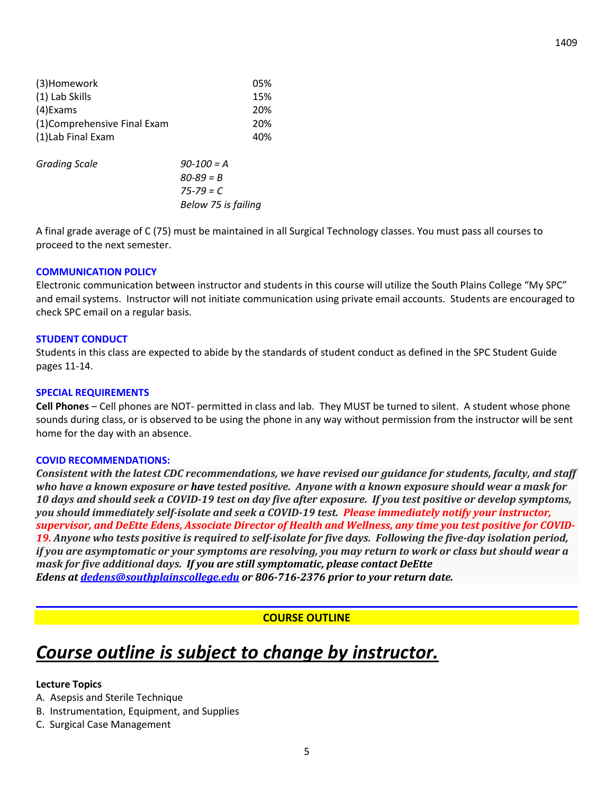| (3)Homework                 | 05%                 |  |
|-----------------------------|---------------------|--|
| (1) Lab Skills              | 15%                 |  |
| (4) Exams                   |                     |  |
| (1)Comprehensive Final Exam | 20%                 |  |
| (1) Lab Final Exam          | 40%                 |  |
| <b>Grading Scale</b>        | $90-100 = A$        |  |
|                             | $80 - 89 = B$       |  |
|                             | $75 - 79 = C$       |  |
|                             | Below 75 is failing |  |

A final grade average of C (75) must be maintained in all Surgical Technology classes. You must pass all courses to proceed to the next semester.

#### **COMMUNICATION POLICY**

Electronic communication between instructor and students in this course will utilize the South Plains College "My SPC" and email systems. Instructor will not initiate communication using private email accounts. Students are encouraged to check SPC email on a regular basis.

#### **STUDENT CONDUCT**

Students in this class are expected to abide by the standards of student conduct as defined in the SPC Student Guide pages 11-14.

#### **SPECIAL REQUIREMENTS**

**Cell Phones** – Cell phones are NOT- permitted in class and lab. They MUST be turned to silent. A student whose phone sounds during class, or is observed to be using the phone in any way without permission from the instructor will be sent home for the day with an absence.

#### **COVID RECOMMENDATIONS:**

*Consistent with the latest CDC recommendations, we have revised our guidance for students, faculty, and staff* who have a known exposure or have tested positive. Anyone with a known exposure should wear a mask for 10 days and should seek a COVID-19 test on day five after exposure. If you test positive or develop symptoms, *you should immediately self-isolate and seek a COVID-19 test. Please immediately notify your instructor,* supervisor, and DeEtte Edens, Associate Director of Health and Wellness, any time you test positive for COVID-19. Anyone who tests positive is required to self-isolate for five days. Following the five-day isolation period, if you are asymptomatic or your symptoms are resolving, you may return to work or class but should wear a *mask for five additional days. If you are still symptomatic, please contact DeEtte Edens at [dedens@southplainscollege.edu](mailto:dedens@southplainscollege.edu) or 806-716-2376 prior to your return date.*

# **COURSE OUTLINE**

# *Course outline is subject to change by instructor.*

#### **Lecture Topics**

- A. Asepsis and Sterile Technique
- B. Instrumentation, Equipment, and Supplies
- C. Surgical Case Management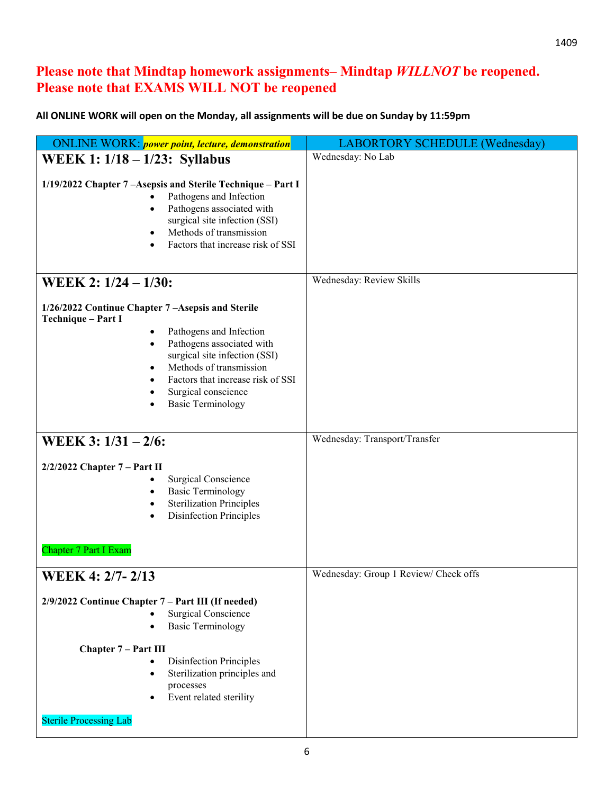# **Please note that Mindtap homework assignments– Mindtap** *WILLNOT* **be reopened. Please note that EXAMS WILL NOT be reopened**

# **All ONLINE WORK will open on the Monday, all assignments will be due on Sunday by 11:59pm**

| <b>LABORTORY SCHEDULE (Wednesday)</b> |
|---------------------------------------|
| Wednesday: No Lab                     |
|                                       |
| Wednesday: Review Skills              |
|                                       |
| Wednesday: Transport/Transfer         |
|                                       |
| Wednesday: Group 1 Review/ Check offs |
|                                       |
|                                       |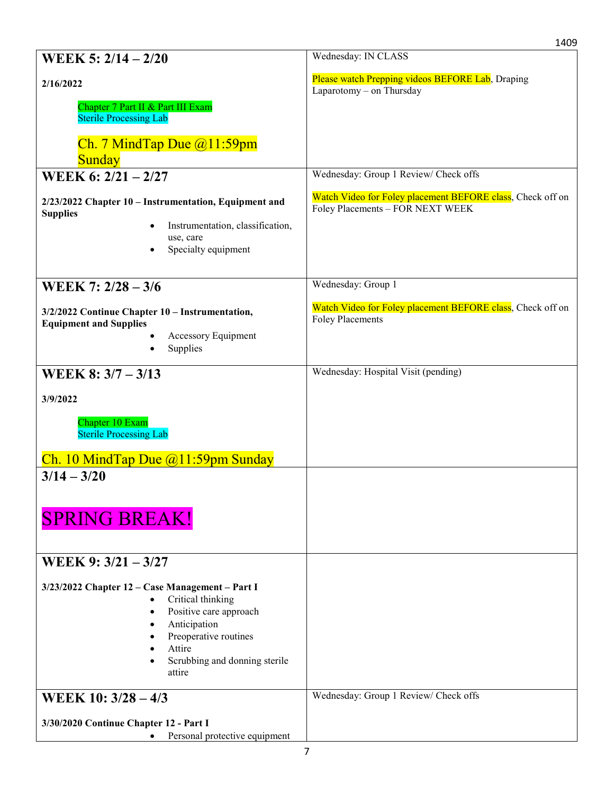|                                                                                                                                                                                              | 1409                                                                                           |
|----------------------------------------------------------------------------------------------------------------------------------------------------------------------------------------------|------------------------------------------------------------------------------------------------|
| WEEK 5: $2/14 - 2/20$                                                                                                                                                                        | Wednesday: IN CLASS                                                                            |
| 2/16/2022                                                                                                                                                                                    | Please watch Prepping videos BEFORE Lab, Draping<br>Laparotomy - on Thursday                   |
| Chapter 7 Part II & Part III Exam<br><b>Sterile Processing Lab</b>                                                                                                                           |                                                                                                |
| Ch. 7 Mind Tap Due $@11:59$ pm<br><b>Sunday</b>                                                                                                                                              |                                                                                                |
| WEEK 6: 2/21 - 2/27                                                                                                                                                                          | Wednesday: Group 1 Review/ Check offs                                                          |
| 2/23/2022 Chapter 10 - Instrumentation, Equipment and<br><b>Supplies</b><br>Instrumentation, classification,<br>use, care<br>Specialty equipment                                             | Watch Video for Foley placement BEFORE class, Check off on<br>Foley Placements - FOR NEXT WEEK |
| WEEK 7: 2/28 - 3/6                                                                                                                                                                           | Wednesday: Group 1                                                                             |
| 3/2/2022 Continue Chapter 10 - Instrumentation,<br><b>Equipment and Supplies</b><br>Accessory Equipment<br>Supplies                                                                          | Watch Video for Foley placement BEFORE class, Check off on<br><b>Foley Placements</b>          |
| WEEK 8: $3/7 - 3/13$                                                                                                                                                                         | Wednesday: Hospital Visit (pending)                                                            |
| 3/9/2022<br>Chapter 10 Exam<br><b>Sterile Processing Lab</b><br>Ch. 10 Mind Tap Due $@11:59$ pm Sunday                                                                                       |                                                                                                |
| $3/14 - 3/20$<br><b>SPRING BREAK!</b>                                                                                                                                                        |                                                                                                |
| WEEK 9: 3/21 - 3/27                                                                                                                                                                          |                                                                                                |
| 3/23/2022 Chapter 12 - Case Management - Part I<br>Critical thinking<br>Positive care approach<br>Anticipation<br>Preoperative routines<br>Attire<br>Scrubbing and donning sterile<br>attire |                                                                                                |
| WEEK 10: 3/28 - 4/3                                                                                                                                                                          | Wednesday: Group 1 Review/ Check offs                                                          |
| 3/30/2020 Continue Chapter 12 - Part I<br>Personal protective equipment                                                                                                                      |                                                                                                |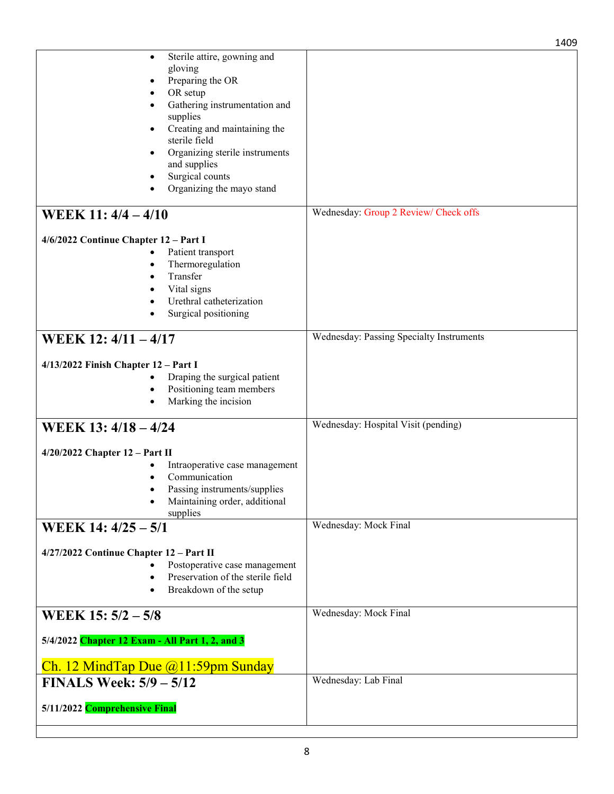|                                                                                                                                                                                                                                                                                            | 1409                                     |
|--------------------------------------------------------------------------------------------------------------------------------------------------------------------------------------------------------------------------------------------------------------------------------------------|------------------------------------------|
| Sterile attire, gowning and<br>٠<br>gloving<br>Preparing the OR<br>OR setup<br>Gathering instrumentation and<br>supplies<br>Creating and maintaining the<br>٠<br>sterile field<br>Organizing sterile instruments<br>٠<br>and supplies<br>Surgical counts<br>٠<br>Organizing the mayo stand |                                          |
| WEEK 11: 4/4 - 4/10                                                                                                                                                                                                                                                                        | Wednesday: Group 2 Review/ Check offs    |
| 4/6/2022 Continue Chapter 12 - Part I<br>Patient transport<br>Thermoregulation<br>Transfer<br>Vital signs<br>Urethral catheterization<br>Surgical positioning                                                                                                                              |                                          |
| WEEK 12: 4/11 - 4/17                                                                                                                                                                                                                                                                       | Wednesday: Passing Specialty Instruments |
| $4/13/2022$ Finish Chapter $12$ – Part I<br>Draping the surgical patient<br>Positioning team members<br>$\bullet$<br>Marking the incision<br>٠                                                                                                                                             |                                          |
| WEEK 13: 4/18 - 4/24                                                                                                                                                                                                                                                                       | Wednesday: Hospital Visit (pending)      |
| $4/20/2022$ Chapter $12$ – Part II<br>Intraoperative case management<br>Communication<br>Passing instruments/supplies<br>Maintaining order, additional<br>supplies                                                                                                                         |                                          |
| WEEK 14: 4/25 - 5/1                                                                                                                                                                                                                                                                        | Wednesday: Mock Final                    |
| 4/27/2022 Continue Chapter 12 - Part II<br>Postoperative case management<br>Preservation of the sterile field<br>Breakdown of the setup                                                                                                                                                    |                                          |
| WEEK $15: 5/2 - 5/8$                                                                                                                                                                                                                                                                       | Wednesday: Mock Final                    |
| 5/4/2022 Chapter 12 Exam - All Part 1, 2, and 3                                                                                                                                                                                                                                            |                                          |
| Ch. 12 Mind Tap Due $(a)$ 11:59pm Sunday<br><b>FINALS Week: 5/9 - 5/12</b>                                                                                                                                                                                                                 | Wednesday: Lab Final                     |
| 5/11/2022 Comprehensive Final                                                                                                                                                                                                                                                              |                                          |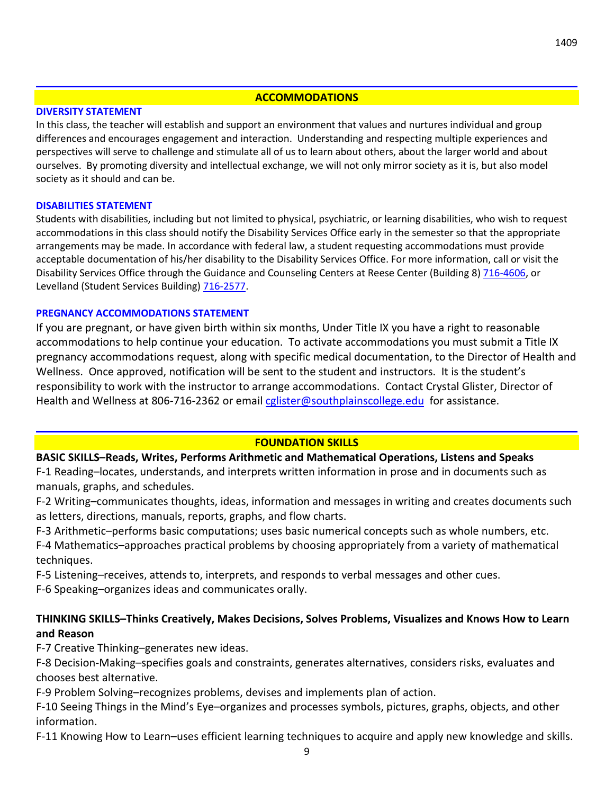#### **ACCOMMODATIONS**

#### **DIVERSITY STATEMENT**

In this class, the teacher will establish and support an environment that values and nurtures individual and group differences and encourages engagement and interaction. Understanding and respecting multiple experiences and perspectives will serve to challenge and stimulate all of us to learn about others, about the larger world and about ourselves. By promoting diversity and intellectual exchange, we will not only mirror society as it is, but also model society as it should and can be.

### **DISABILITIES STATEMENT**

Students with disabilities, including but not limited to physical, psychiatric, or learning disabilities, who wish to request accommodations in this class should notify the Disability Services Office early in the semester so that the appropriate arrangements may be made. In accordance with federal law, a student requesting accommodations must provide acceptable documentation of his/her disability to the Disability Services Office. For more information, call or visit the Disability Services Office through the Guidance and Counseling Centers at Reese Center (Building 8) [716-4606,](tel:716-4606) or Levelland (Student Services Building) [716-2577.](tel:716-2577)

### **PREGNANCY ACCOMMODATIONS STATEMENT**

If you are pregnant, or have given birth within six months, Under Title IX you have a right to reasonable accommodations to help continue your education. To activate accommodations you must submit a Title IX pregnancy accommodations request, along with specific medical documentation, to the Director of Health and Wellness. Once approved, notification will be sent to the student and instructors. It is the student's responsibility to work with the instructor to arrange accommodations. Contact Crystal Glister, Director of Health and Wellness at 806-716-2362 or email [cglister@southplainscollege.edu](mailto:cglister@southplainscollege.edu) for assistance.

# **FOUNDATION SKILLS**

# **BASIC SKILLS–Reads, Writes, Performs Arithmetic and Mathematical Operations, Listens and Speaks**

F-1 Reading–locates, understands, and interprets written information in prose and in documents such as manuals, graphs, and schedules.

F-2 Writing–communicates thoughts, ideas, information and messages in writing and creates documents such as letters, directions, manuals, reports, graphs, and flow charts.

F-3 Arithmetic–performs basic computations; uses basic numerical concepts such as whole numbers, etc. F-4 Mathematics–approaches practical problems by choosing appropriately from a variety of mathematical techniques.

F-5 Listening–receives, attends to, interprets, and responds to verbal messages and other cues.

F-6 Speaking–organizes ideas and communicates orally.

# **THINKING SKILLS–Thinks Creatively, Makes Decisions, Solves Problems, Visualizes and Knows How to Learn and Reason**

F-7 Creative Thinking–generates new ideas.

F-8 Decision-Making–specifies goals and constraints, generates alternatives, considers risks, evaluates and chooses best alternative.

F-9 Problem Solving–recognizes problems, devises and implements plan of action.

F-10 Seeing Things in the Mind's Eye–organizes and processes symbols, pictures, graphs, objects, and other information.

F-11 Knowing How to Learn–uses efficient learning techniques to acquire and apply new knowledge and skills.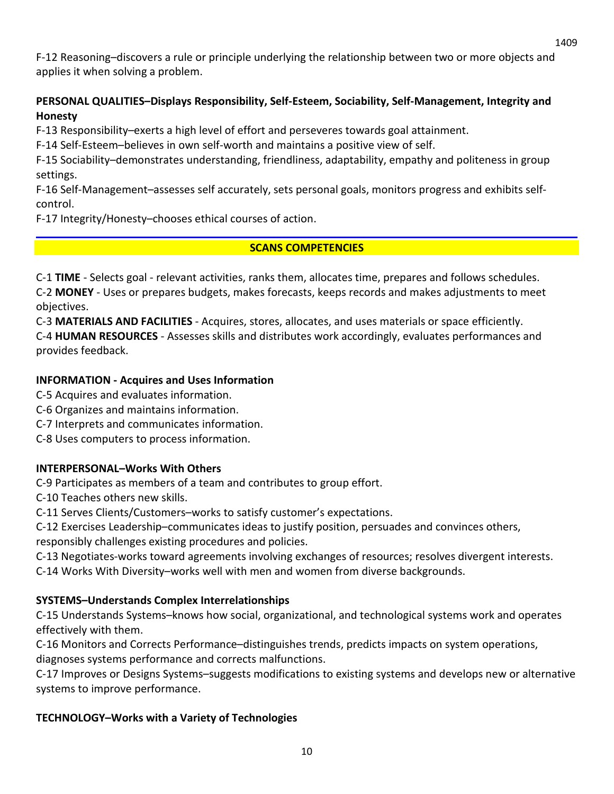F-12 Reasoning–discovers a rule or principle underlying the relationship between two or more objects and applies it when solving a problem.

# **PERSONAL QUALITIES–Displays Responsibility, Self-Esteem, Sociability, Self-Management, Integrity and Honesty**

F-13 Responsibility–exerts a high level of effort and perseveres towards goal attainment.

F-14 Self-Esteem–believes in own self-worth and maintains a positive view of self.

F-15 Sociability–demonstrates understanding, friendliness, adaptability, empathy and politeness in group settings.

F-16 Self-Management–assesses self accurately, sets personal goals, monitors progress and exhibits selfcontrol.

F-17 Integrity/Honesty–chooses ethical courses of action.

# **SCANS COMPETENCIES**

C-1 **TIME** - Selects goal - relevant activities, ranks them, allocates time, prepares and follows schedules. C-2 **MONEY** - Uses or prepares budgets, makes forecasts, keeps records and makes adjustments to meet objectives.

C-3 **MATERIALS AND FACILITIES** - Acquires, stores, allocates, and uses materials or space efficiently. C-4 **HUMAN RESOURCES** - Assesses skills and distributes work accordingly, evaluates performances and provides feedback.

# **INFORMATION - Acquires and Uses Information**

C-5 Acquires and evaluates information.

- C-6 Organizes and maintains information.
- C-7 Interprets and communicates information.

C-8 Uses computers to process information.

# **INTERPERSONAL–Works With Others**

C-9 Participates as members of a team and contributes to group effort.

C-10 Teaches others new skills.

C-11 Serves Clients/Customers–works to satisfy customer's expectations.

C-12 Exercises Leadership–communicates ideas to justify position, persuades and convinces others, responsibly challenges existing procedures and policies.

C-13 Negotiates-works toward agreements involving exchanges of resources; resolves divergent interests.

C-14 Works With Diversity–works well with men and women from diverse backgrounds.

# **SYSTEMS–Understands Complex Interrelationships**

C-15 Understands Systems–knows how social, organizational, and technological systems work and operates effectively with them.

C-16 Monitors and Corrects Performance–distinguishes trends, predicts impacts on system operations, diagnoses systems performance and corrects malfunctions.

C-17 Improves or Designs Systems–suggests modifications to existing systems and develops new or alternative systems to improve performance.

# **TECHNOLOGY–Works with a Variety of Technologies**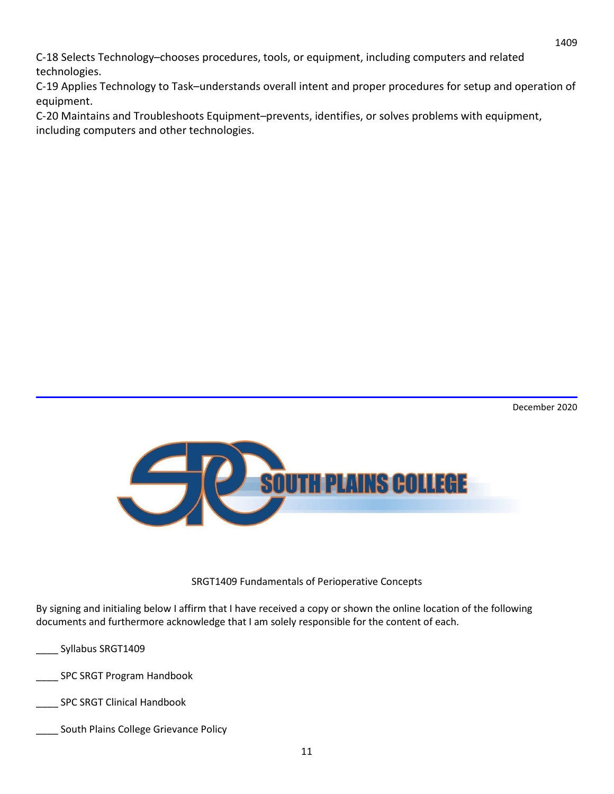C-18 Selects Technology–chooses procedures, tools, or equipment, including computers and related technologies.

C-19 Applies Technology to Task–understands overall intent and proper procedures for setup and operation of equipment.

C-20 Maintains and Troubleshoots Equipment–prevents, identifies, or solves problems with equipment, including computers and other technologies.



SRGT1409 Fundamentals of Perioperative Concepts

By signing and initialing below I affirm that I have received a copy or shown the online location of the following documents and furthermore acknowledge that I am solely responsible for the content of each.

- \_\_\_\_ Syllabus SRGT1409
- \_\_\_\_ SPC SRGT Program Handbook
- \_\_\_\_ SPC SRGT Clinical Handbook
- \_\_\_\_ South Plains College Grievance Policy